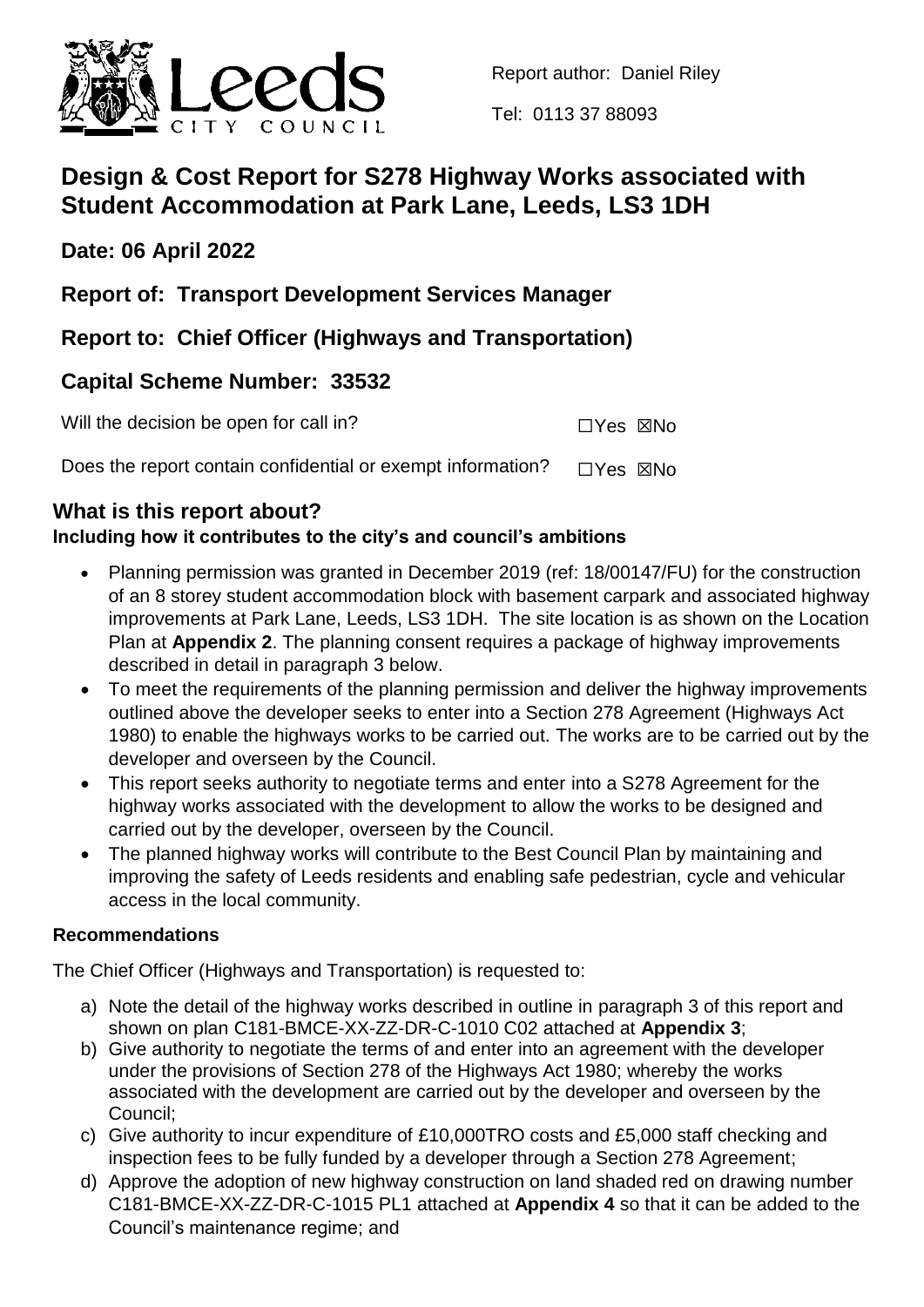

Tel: 0113 37 88093

# **Design & Cost Report for S278 Highway Works associated with Student Accommodation at Park Lane, Leeds, LS3 1DH**

**Date: 06 April 2022**

**Report of: Transport Development Services Manager**

**Report to: Chief Officer (Highways and Transportation)** 

## **Capital Scheme Number: 33532**

| Will the decision be open for call in? | $\Box$ Yes $\boxtimes$ No |  |
|----------------------------------------|---------------------------|--|
|----------------------------------------|---------------------------|--|

Does the report contain confidential or exempt information?  $\Box$ Yes  $\boxtimes$ No

## **What is this report about?**

## **Including how it contributes to the city's and council's ambitions**

- Planning permission was granted in December 2019 (ref: 18/00147/FU) for the construction of an 8 storey student accommodation block with basement carpark and associated highway improvements at Park Lane, Leeds, LS3 1DH. The site location is as shown on the Location Plan at **Appendix 2**. The planning consent requires a package of highway improvements described in detail in paragraph 3 below.
- To meet the requirements of the planning permission and deliver the highway improvements outlined above the developer seeks to enter into a Section 278 Agreement (Highways Act 1980) to enable the highways works to be carried out. The works are to be carried out by the developer and overseen by the Council.
- This report seeks authority to negotiate terms and enter into a S278 Agreement for the highway works associated with the development to allow the works to be designed and carried out by the developer, overseen by the Council.
- The planned highway works will contribute to the Best Council Plan by maintaining and improving the safety of Leeds residents and enabling safe pedestrian, cycle and vehicular access in the local community.

## **Recommendations**

The Chief Officer (Highways and Transportation) is requested to:

- a) Note the detail of the highway works described in outline in paragraph 3 of this report and shown on plan C181-BMCE-XX-ZZ-DR-C-1010 C02 attached at **Appendix 3**;
- b) Give authority to negotiate the terms of and enter into an agreement with the developer under the provisions of Section 278 of the Highways Act 1980; whereby the works associated with the development are carried out by the developer and overseen by the Council;
- c) Give authority to incur expenditure of £10,000TRO costs and £5,000 staff checking and inspection fees to be fully funded by a developer through a Section 278 Agreement;
- d) Approve the adoption of new highway construction on land shaded red on drawing number C181-BMCE-XX-ZZ-DR-C-1015 PL1 attached at **Appendix 4** so that it can be added to the Council's maintenance regime; and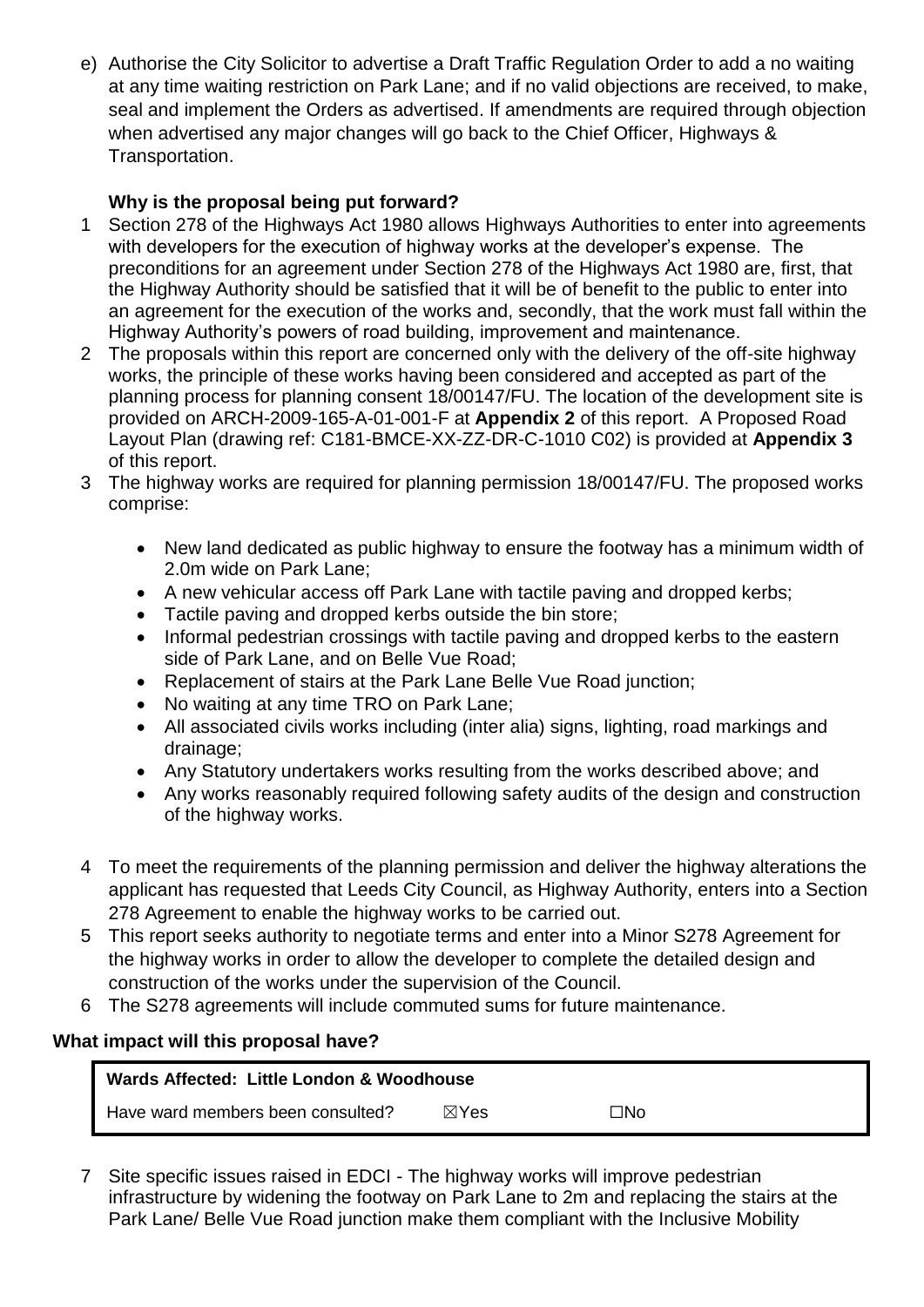e) Authorise the City Solicitor to advertise a Draft Traffic Regulation Order to add a no waiting at any time waiting restriction on Park Lane; and if no valid objections are received, to make, seal and implement the Orders as advertised. If amendments are required through objection when advertised any major changes will go back to the Chief Officer, Highways & Transportation.

## **Why is the proposal being put forward?**

- 1 Section 278 of the Highways Act 1980 allows Highways Authorities to enter into agreements with developers for the execution of highway works at the developer's expense. The preconditions for an agreement under Section 278 of the Highways Act 1980 are, first, that the Highway Authority should be satisfied that it will be of benefit to the public to enter into an agreement for the execution of the works and, secondly, that the work must fall within the Highway Authority's powers of road building, improvement and maintenance.
- 2 The proposals within this report are concerned only with the delivery of the off-site highway works, the principle of these works having been considered and accepted as part of the planning process for planning consent 18/00147/FU. The location of the development site is provided on ARCH-2009-165-A-01-001-F at **Appendix 2** of this report. A Proposed Road Layout Plan (drawing ref: C181-BMCE-XX-ZZ-DR-C-1010 C02) is provided at **Appendix 3** of this report.
- 3 The highway works are required for planning permission 18/00147/FU. The proposed works comprise:
	- New land dedicated as public highway to ensure the footway has a minimum width of 2.0m wide on Park Lane;
	- A new vehicular access off Park Lane with tactile paving and dropped kerbs;
	- Tactile paving and dropped kerbs outside the bin store;
	- Informal pedestrian crossings with tactile paving and dropped kerbs to the eastern side of Park Lane, and on Belle Vue Road;
	- Replacement of stairs at the Park Lane Belle Vue Road junction;
	- No waiting at any time TRO on Park Lane;
	- All associated civils works including (inter alia) signs, lighting, road markings and drainage;
	- Any Statutory undertakers works resulting from the works described above; and
	- Any works reasonably required following safety audits of the design and construction of the highway works.
- 4 To meet the requirements of the planning permission and deliver the highway alterations the applicant has requested that Leeds City Council, as Highway Authority, enters into a Section 278 Agreement to enable the highway works to be carried out.
- 5 This report seeks authority to negotiate terms and enter into a Minor S278 Agreement for the highway works in order to allow the developer to complete the detailed design and construction of the works under the supervision of the Council.
- 6 The S278 agreements will include commuted sums for future maintenance.

#### **What impact will this proposal have?**

| Wards Affected: Little London & Woodhouse |                 |     |  |  |  |  |
|-------------------------------------------|-----------------|-----|--|--|--|--|
| Have ward members been consulted?         | $\boxtimes$ Yes | ON⊡ |  |  |  |  |

7 Site specific issues raised in EDCI - The highway works will improve pedestrian infrastructure by widening the footway on Park Lane to 2m and replacing the stairs at the Park Lane/ Belle Vue Road junction make them compliant with the Inclusive Mobility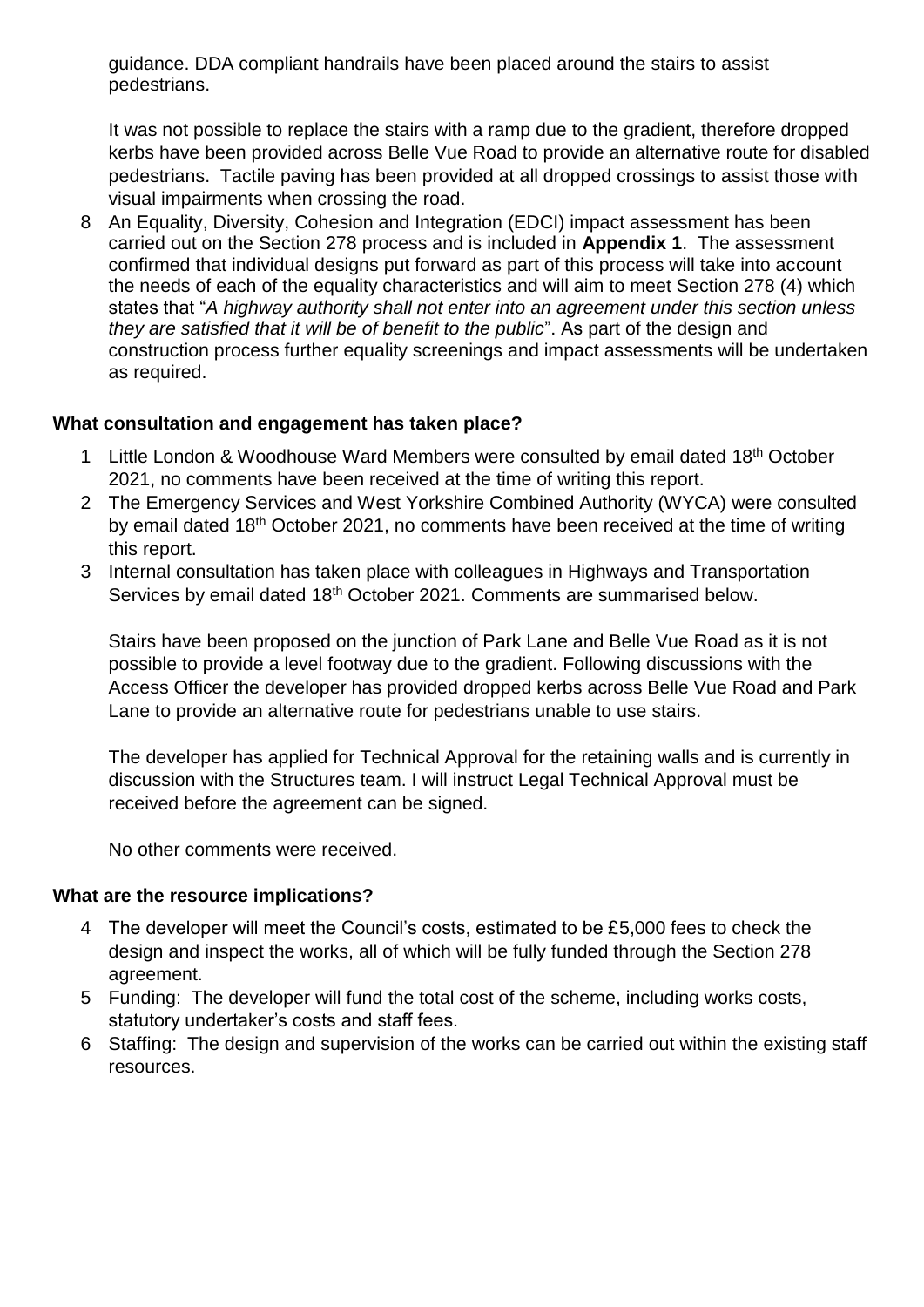guidance. DDA compliant handrails have been placed around the stairs to assist pedestrians.

It was not possible to replace the stairs with a ramp due to the gradient, therefore dropped kerbs have been provided across Belle Vue Road to provide an alternative route for disabled pedestrians. Tactile paving has been provided at all dropped crossings to assist those with visual impairments when crossing the road.

8 An Equality, Diversity, Cohesion and Integration (EDCI) impact assessment has been carried out on the Section 278 process and is included in **Appendix 1**. The assessment confirmed that individual designs put forward as part of this process will take into account the needs of each of the equality characteristics and will aim to meet Section 278 (4) which states that "*A highway authority shall not enter into an agreement under this section unless they are satisfied that it will be of benefit to the public*". As part of the design and construction process further equality screenings and impact assessments will be undertaken as required.

#### **What consultation and engagement has taken place?**

- 1 Little London & Woodhouse Ward Members were consulted by email dated 18<sup>th</sup> October 2021, no comments have been received at the time of writing this report.
- 2 The Emergency Services and West Yorkshire Combined Authority (WYCA) were consulted by email dated 18th October 2021, no comments have been received at the time of writing this report.
- 3 Internal consultation has taken place with colleagues in Highways and Transportation Services by email dated 18<sup>th</sup> October 2021. Comments are summarised below.

Stairs have been proposed on the junction of Park Lane and Belle Vue Road as it is not possible to provide a level footway due to the gradient. Following discussions with the Access Officer the developer has provided dropped kerbs across Belle Vue Road and Park Lane to provide an alternative route for pedestrians unable to use stairs.

The developer has applied for Technical Approval for the retaining walls and is currently in discussion with the Structures team. I will instruct Legal Technical Approval must be received before the agreement can be signed.

No other comments were received.

#### **What are the resource implications?**

- 4 The developer will meet the Council's costs, estimated to be £5,000 fees to check the design and inspect the works, all of which will be fully funded through the Section 278 agreement.
- 5 Funding: The developer will fund the total cost of the scheme, including works costs, statutory undertaker's costs and staff fees.
- 6 Staffing: The design and supervision of the works can be carried out within the existing staff resources.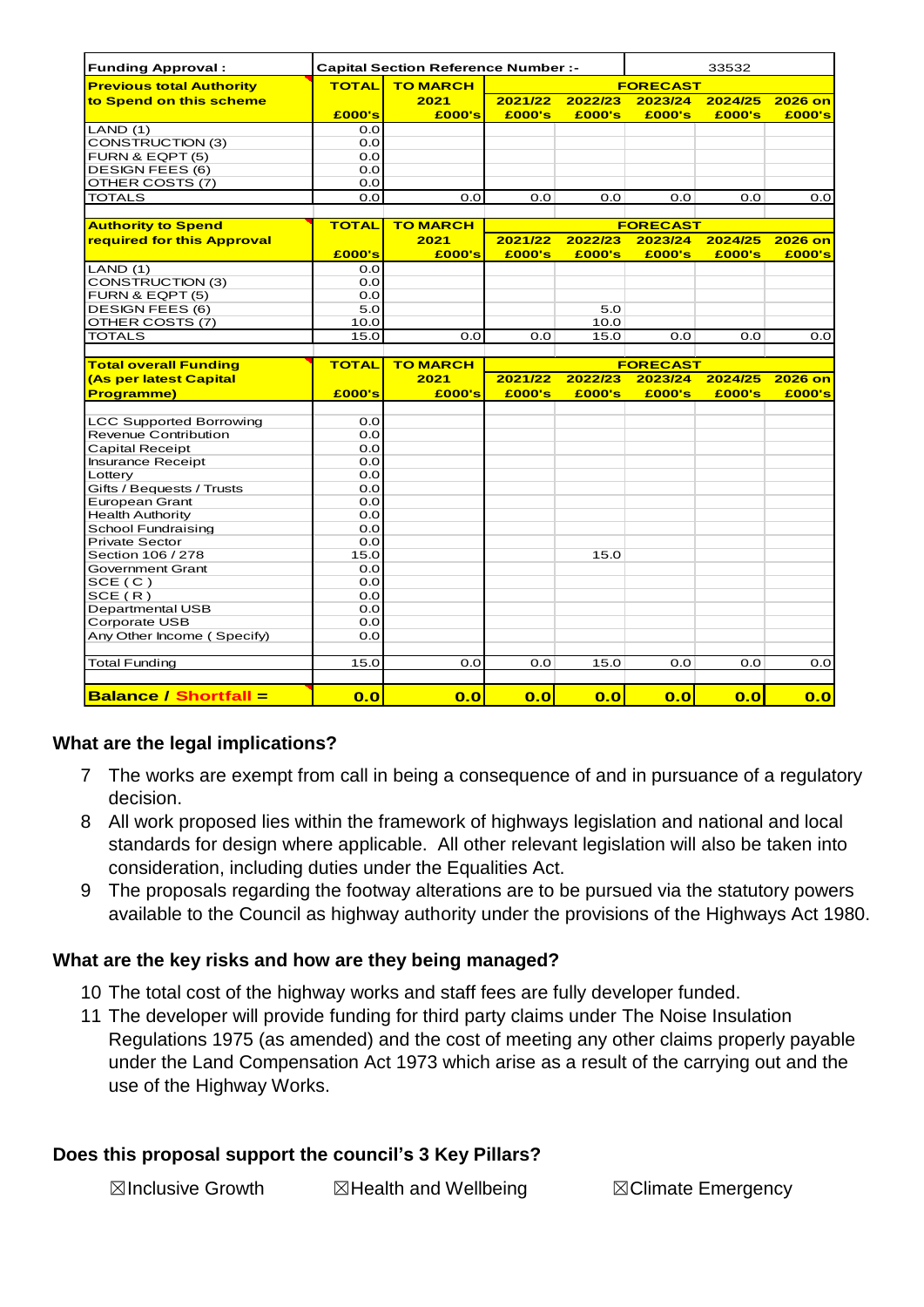| <b>Funding Approval:</b>        | <b>Capital Section Reference Number :-</b> |                 |                 | 33532   |                 |         |         |
|---------------------------------|--------------------------------------------|-----------------|-----------------|---------|-----------------|---------|---------|
| <b>Previous total Authority</b> | <b>TOTAL</b>                               | <b>TO MARCH</b> |                 |         | <b>FORECAST</b> |         |         |
| to Spend on this scheme         |                                            | 2021            | 2021/22         | 2022/23 | 2023/24         | 2024/25 | 2026 on |
|                                 | £000's                                     | £000's          | £000's          | £000's  | £000's          | £000's  | £000's  |
| LAND(1)                         | 0.0                                        |                 |                 |         |                 |         |         |
| CONSTRUCTION (3)                | 0.0                                        |                 |                 |         |                 |         |         |
| FURN & EQPT (5)                 | 0.0                                        |                 |                 |         |                 |         |         |
| <b>DESIGN FEES (6)</b>          | 0.0                                        |                 |                 |         |                 |         |         |
| OTHER COSTS (7)                 | 0.0                                        |                 |                 |         |                 |         |         |
| <b>TOTALS</b>                   | 0.0                                        | 0.0             | 0.0             | 0.0     | 0.0             | 0.0     | 0.0     |
|                                 |                                            |                 |                 |         |                 |         |         |
| <b>Authority to Spend</b>       | <b>TOTAL</b>                               | <b>TO MARCH</b> |                 |         | <b>FORECAST</b> |         |         |
| required for this Approval      |                                            | 2021            | 2021/22         | 2022/23 | 2023/24         | 2024/25 | 2026 on |
|                                 | £000's                                     | £000's          | £000's          | £000's  | £000's          | £000's  | £000's  |
| LAND(1)                         | 0.0                                        |                 |                 |         |                 |         |         |
| <b>CONSTRUCTION (3)</b>         | 0.0                                        |                 |                 |         |                 |         |         |
| FURN & EQPT (5)                 | 0.0                                        |                 |                 |         |                 |         |         |
| <b>DESIGN FEES (6)</b>          | 5.0                                        |                 |                 | 5.0     |                 |         |         |
| OTHER COSTS (7)                 | 10.0                                       |                 |                 | 10.0    |                 |         |         |
| <b>TOTALS</b>                   | 15.0                                       | 0.0             | 0.0             | 15.0    | 0.0             | 0.0     | 0.0     |
|                                 |                                            |                 |                 |         |                 |         |         |
| <b>Total overall Funding</b>    | <b>TOTAL</b>                               | <b>TO MARCH</b> | <b>FORECAST</b> |         |                 |         |         |
| (As per latest Capital          |                                            | 2021            | 2021/22         | 2022/23 | 2023/24         | 2024/25 | 2026 on |
| <b>Programme)</b>               | £000's                                     | £000's          | £000's          | £000's  | £000's          | £000's  | £000's  |
|                                 |                                            |                 |                 |         |                 |         |         |
| <b>LCC Supported Borrowing</b>  | 0.0                                        |                 |                 |         |                 |         |         |
| Revenue Contribution            | 0.0                                        |                 |                 |         |                 |         |         |
| <b>Capital Receipt</b>          | 0.0                                        |                 |                 |         |                 |         |         |
| <b>Insurance Receipt</b>        | 0.0                                        |                 |                 |         |                 |         |         |
| Lottery                         | 0.0                                        |                 |                 |         |                 |         |         |
| Gifts / Bequests / Trusts       | 0.0                                        |                 |                 |         |                 |         |         |
| European Grant                  | 0.0                                        |                 |                 |         |                 |         |         |
| <b>Health Authority</b>         | 0.0                                        |                 |                 |         |                 |         |         |
| School Fundraising              | 0.0                                        |                 |                 |         |                 |         |         |
| <b>Private Sector</b>           | 0.0                                        |                 |                 |         |                 |         |         |
| Section 106 / 278               | 15.0                                       |                 |                 | 15.0    |                 |         |         |
| Government Grant                | 0.0                                        |                 |                 |         |                 |         |         |
| SCE(C)                          | 0.0                                        |                 |                 |         |                 |         |         |
| SCE(R)                          | 0.0                                        |                 |                 |         |                 |         |         |
| <b>Departmental USB</b>         | 0.0                                        |                 |                 |         |                 |         |         |
| Corporate USB                   | 0.0                                        |                 |                 |         |                 |         |         |
| Any Other Income (Specify)      | 0.0                                        |                 |                 |         |                 |         |         |
|                                 |                                            |                 |                 |         |                 |         |         |
| <b>Total Funding</b>            | 15.0                                       | 0.0             | 0.0             | 15.0    | 0.0             | 0.0     | 0.0     |
|                                 |                                            |                 |                 |         |                 |         |         |
| <b>Balance / Shortfall =</b>    | 0.0                                        | 0.0             | 0.0             | 0.0     | 0.0             | 0.0     | 0.0     |

#### **What are the legal implications?**

- 7 The works are exempt from call in being a consequence of and in pursuance of a regulatory decision.
- 8 All work proposed lies within the framework of highways legislation and national and local standards for design where applicable. All other relevant legislation will also be taken into consideration, including duties under the Equalities Act.
- 9 The proposals regarding the footway alterations are to be pursued via the statutory powers available to the Council as highway authority under the provisions of the Highways Act 1980.

#### **What are the key risks and how are they being managed?**

- 10 The total cost of the highway works and staff fees are fully developer funded.
- 11 The developer will provide funding for third party claims under The Noise Insulation Regulations 1975 (as amended) and the cost of meeting any other claims properly payable under the Land Compensation Act 1973 which arise as a result of the carrying out and the use of the Highway Works.

#### **Does this proposal support the council's 3 Key Pillars?**

**⊠Inclusive Growth ■ ⊠Health and Wellbeing ■ ■ ⊠Climate Emergency**